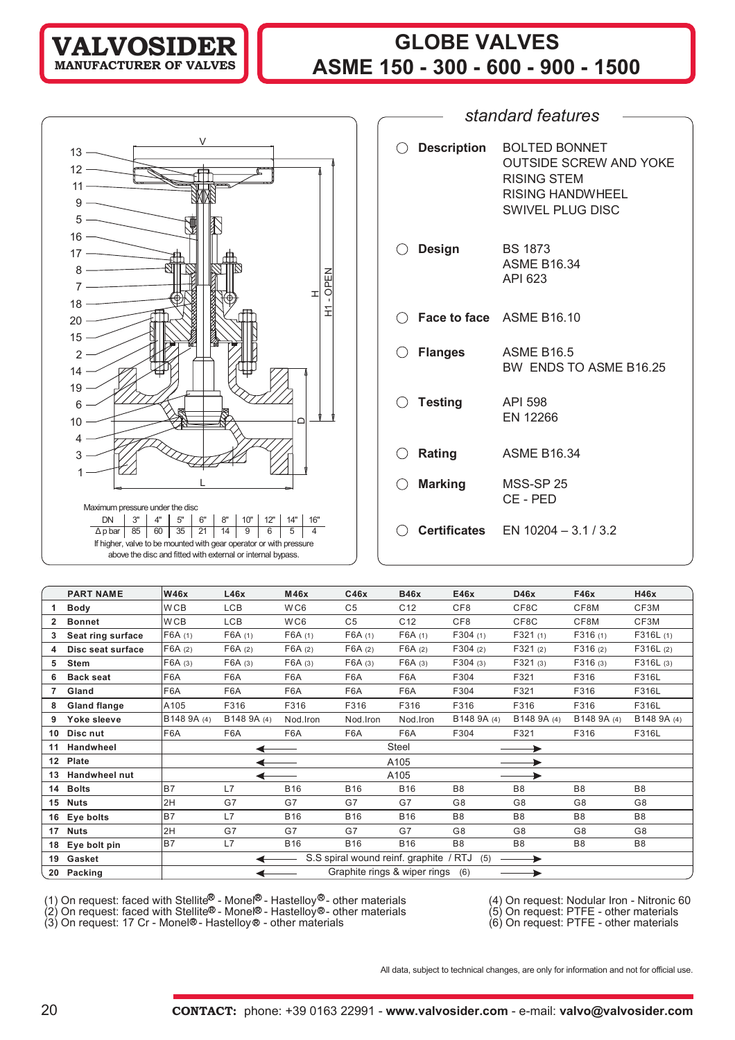**VALVOSIDER MANUFACTURER OF VALVES**

# **GLOBE VALVES ASME 150 - 300 - 600 - 900 - 1500**

|                                                                                                                                                                                                                                                                                                                              | standard features                                                                                                                                |
|------------------------------------------------------------------------------------------------------------------------------------------------------------------------------------------------------------------------------------------------------------------------------------------------------------------------------|--------------------------------------------------------------------------------------------------------------------------------------------------|
|                                                                                                                                                                                                                                                                                                                              |                                                                                                                                                  |
| V<br>$13 -$<br>$12 -$<br>$11 -$<br>$9 -$<br>5                                                                                                                                                                                                                                                                                | <b>Description</b><br><b>BOLTED BONNET</b><br><b>OUTSIDE SCREW AND YOKE</b><br><b>RISING STEM</b><br><b>RISING HANDWHEEL</b><br>SWIVEL PLUG DISC |
| $16 -$<br>$17 -$<br>毌<br>8<br>OPEN<br>피<br>$18 -$                                                                                                                                                                                                                                                                            | <b>Design</b><br><b>BS 1873</b><br><b>ASME B16.34</b><br>API 623                                                                                 |
| 도<br>$20 -$<br>$15 -$                                                                                                                                                                                                                                                                                                        | Face to face ASME B16.10                                                                                                                         |
| $\overline{2}$<br>$14 -$<br>$19 -$                                                                                                                                                                                                                                                                                           | <b>Flanges</b><br><b>ASME B16.5</b><br>BW ENDS TO ASME B16.25                                                                                    |
| 6<br>10<br>4                                                                                                                                                                                                                                                                                                                 | <b>Testing</b><br><b>API 598</b><br>EN 12266                                                                                                     |
| $($ )<br>3                                                                                                                                                                                                                                                                                                                   | <b>ASME B16.34</b><br>Rating                                                                                                                     |
|                                                                                                                                                                                                                                                                                                                              | <b>Marking</b><br>MSS-SP 25<br>CE - PED                                                                                                          |
| Maximum pressure under the disc<br>3"<br>8"<br>12"<br>14"<br><b>DN</b><br>4"<br>5"<br>6"<br>10"<br>16"<br>5<br>$\overline{4}$<br>60<br>35<br>21<br>14<br>9<br>6<br>85<br>$\Delta p$ bar<br>If higher, valve to be mounted with gear operator or with pressure<br>above the disc and fitted with external or internal bypass. | <b>Certificates</b> EN 10204 - 3.1 / 3.2                                                                                                         |
|                                                                                                                                                                                                                                                                                                                              |                                                                                                                                                  |

|                  | <b>PART NAME</b>     | <b>W46x</b>     | L46x             | M46x             | C46x           | <b>B46x</b>                            | E46x            | D46x           | F46x           | H46x           |
|------------------|----------------------|-----------------|------------------|------------------|----------------|----------------------------------------|-----------------|----------------|----------------|----------------|
|                  | <b>Body</b>          | W <sub>CB</sub> | <b>LCB</b>       | WC6              | C <sub>5</sub> | C <sub>12</sub>                        | CF <sub>8</sub> | CF8C           | CF8M           | CF3M           |
|                  | <b>Bonnet</b>        | W <sub>CB</sub> | LCB              | WC6              | C <sub>5</sub> | C <sub>12</sub>                        | CF <sub>8</sub> | CF8C           | CF8M           | CF3M           |
|                  | Seat ring surface    | F6A(1)          | F6A(1)           | F6A(1)           | F6A(1)         | F6A(1)                                 | F304(1)         | F321(1)        | F316(1)        | F316L(1)       |
| 4                | Disc seat surface    | F6A(2)          | F6A(2)           | F6A(2)           | F6A(2)         | F6A(2)                                 | F304(2)         | F321(2)        | F316(2)        | F316L(2)       |
| 5                | <b>Stem</b>          | F6A (3)         | F6A(3)           | F6A(3)           | F6A(3)         | F6A(3)                                 | F304(3)         | F321(3)        | F316(3)        | F316L(3)       |
| 6                | <b>Back seat</b>     | F6A             | F6A              | F <sub>6</sub> A | F6A            | F6A                                    | F304            | F321           | F316           | F316L          |
| 7                | Gland                | F6A             | F6A              | F6A              | F6A            | F6A                                    | F304            | F321           | F316           | F316L          |
| 8                | <b>Gland flange</b>  | A105            | F316             | F316             | F316           | F316                                   | F316            | F316           | F316           | F316L          |
| 9                | Yoke sleeve          | B148 9A (4)     | B148 9A (4)      | Nod.Iron         | Nod.Iron       | Nod.Iron                               | B148 9A (4)     | B148 9A (4)    | B148 9A (4)    | B148 9A (4)    |
| 10               | Disc nut             | F6A             | F <sub>6</sub> A | F6A              | F6A            | F6A                                    | F304            | F321           | F316           | F316L          |
| 11               | Handwheel            |                 |                  |                  |                | Steel                                  |                 |                |                |                |
| 12 <sup>12</sup> | Plate                |                 |                  |                  |                | A105                                   |                 |                |                |                |
| 13               | <b>Handwheel nut</b> |                 |                  |                  |                | A105                                   |                 |                |                |                |
| 14               | <b>Bolts</b>         | <b>B7</b>       | L7               | <b>B16</b>       | <b>B16</b>     | <b>B16</b>                             | B <sub>8</sub>  | B <sub>8</sub> | B <sub>8</sub> | B <sub>8</sub> |
| 15               | <b>Nuts</b>          | 2H              | G7               | G7               | G7             | G7                                     | G8              | G8             | G <sub>8</sub> | G8             |
| 16               | Eye bolts            | B7              | L7               | <b>B16</b>       | <b>B16</b>     | <b>B16</b>                             | B <sub>8</sub>  | B <sub>8</sub> | B <sub>8</sub> | B <sub>8</sub> |
| 17               | <b>Nuts</b>          | 2H              | G7               | G7               | G7             | G7                                     | G8              | G8             | G <sub>8</sub> | G8             |
| 18               | Eye bolt pin         | <b>B7</b>       | L7               | <b>B16</b>       | <b>B16</b>     | <b>B16</b>                             | B <sub>8</sub>  | B <sub>8</sub> | B <sub>8</sub> | B <sub>8</sub> |
| 19               | Gasket               |                 |                  |                  |                | S.S spiral wound reinf. graphite / RTJ | (5)             |                |                |                |
| 20               | Packing              |                 |                  |                  |                | Graphite rings & wiper rings           | (6)             |                |                |                |

(1) On request: faced with Stellite - Monel® - Hastelloy® - other materials (4) On request: Nodular Iron - Nitronic 60 (1) On request: faced with Stellite<sup>®</sup> - Monel<sup>®</sup> - Hastelloy<sup>®</sup>- other materials (4) On request: Nodular Iron - Nitronic 60<br>(2) On request: faced with Stellite® - Monel® - Hastelloy® - other materials (6) On request: PTF

(2) On request: faced with Stellite® - Monel® - Hastelloy®- other materials (5) On request: PTFE - other materials

All data, subject to technical changes, are only for information and not for official use.